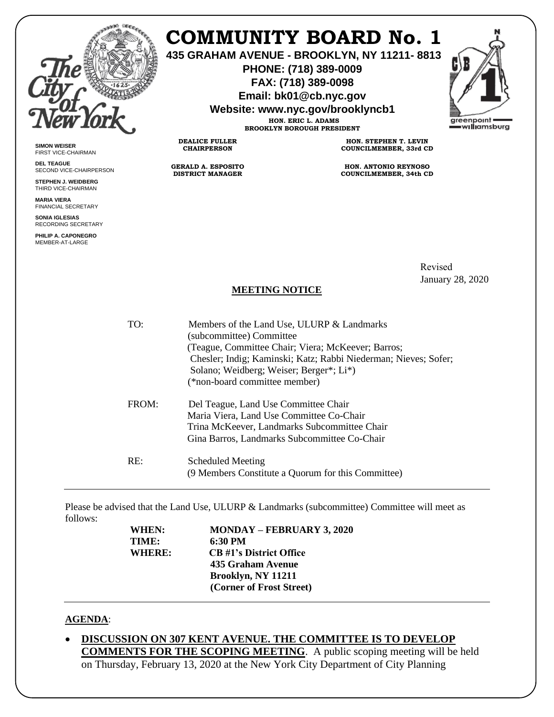

## **COMMUNITY BOARD No. 1**

**435 GRAHAM AVENUE - BROOKLYN, NY 11211- 8813**

**PHONE: (718) 389-0009 FAX: (718) 389-0098**

**Email: bk01@cb.nyc.gov**

**Website: www.nyc.gov/brooklyncb1**



**HON. ERIC L. ADAMS BROOKLYN BOROUGH PRESIDENT**

**DEALICE FULLER CHAIRPERSON**

**GERALD A. ESPOSITO DISTRICT MANAGER**

**HON. STEPHEN T. LEVIN COUNCILMEMBER, 33rd CD**

**HON. ANTONIO REYNOSO COUNCILMEMBER, 34th CD**

> Revised January 28, 2020

## **MEETING NOTICE**

| TO:   | Members of the Land Use, ULURP & Landmarks<br>(subcommittee) Committee<br>(Teague, Committee Chair; Viera; McKeever; Barros;<br>Chesler; Indig; Kaminski; Katz; Rabbi Niederman; Nieves; Sofer;<br>Solano; Weidberg; Weiser; Berger*; Li*)<br>(*non-board committee member) |
|-------|-----------------------------------------------------------------------------------------------------------------------------------------------------------------------------------------------------------------------------------------------------------------------------|
| FROM: | Del Teague, Land Use Committee Chair<br>Maria Viera, Land Use Committee Co-Chair<br>Trina McKeever, Landmarks Subcommittee Chair<br>Gina Barros, Landmarks Subcommittee Co-Chair                                                                                            |
| RE:   | <b>Scheduled Meeting</b><br>(9 Members Constitute a Quorum for this Committee)                                                                                                                                                                                              |

Please be advised that the Land Use, ULURP & Landmarks (subcommittee) Committee will meet as follows:

> **WHEN: MONDAY – FEBRUARY 3, 2020 TIME: 6:30 PM WHERE: CB #1's District Office 435 Graham Avenue Brooklyn, NY 11211 (Corner of Frost Street)**

## **AGENDA**:

• **DISCUSSION ON 307 KENT AVENUE. THE COMMITTEE IS TO DEVELOP COMMENTS FOR THE SCOPING MEETING**. A public scoping meeting will be held on Thursday, February 13, 2020 at the New York City Department of City Planning

**SIMON WEISER** FIRST VICE-CHAIRMAN **DEL TEAGUE**

SECOND VICE-CHAIRPERSON

**STEPHEN J. WEIDBERG** THIRD VICE-CHAIRMAN **MARIA VIERA**

FINANCIAL SECRETARY **SONIA IGLESIAS**

RECORDING SECRETARY **PHILIP A. CAPONEGRO** MEMBER-AT-LARGE